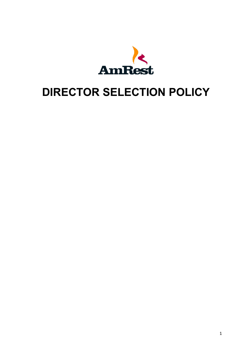

# **DIRECTOR SELECTION POLICY**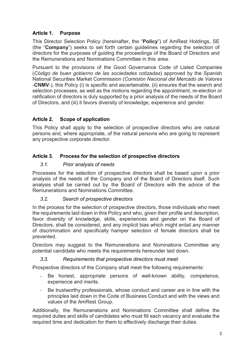# **Article 1. Purpose**

This Director Selection Policy (hereinafter, the "**Policy**") of AmRest Holdings, SE (the "**Company**") seeks to set forth certain guidelines regarding the selection of directors for the purposes of guiding the proceedings of the Board of Directors and the Remunerations and Nominations Committee in this area.

Pursuant to the provisions of the Good Governance Code of Listed Companies (*Código de buen gobierno de las sociedades cotizadas*) approved by the Spanish National Securities Market Commission (*Comisión Nacional del Mercado de Valores* -**CNMV**-), this Policy (i) is specific and ascertainable, (ii) ensures that the search and selection processes, as well as the motions regarding the appointment, re-election or ratification of directors is duly supported by a prior analysis of the needs of the Board of Directors, and (iii) it favors diversity of knowledge, experience and gender.

# **Article 2. Scope of application**

This Policy shall apply to the selection of prospective directors who are natural persons and, where appropriate, of the natural persons who are going to represent any prospective corporate director.

# **Article 3. Process for the selection of prospective directors**

# *3.1. Prior analysis of needs*

Processes for the selection of prospective directors shall be based upon a prior analysis of the needs of the Company and of the Board of Directors itself. Such analysis shall be carried out by the Board of Directors with the advice of the Remunerations and Nominations Committee.

# *3.2. Search of prospective directors*

In the process for the selection of prospective directors, those individuals who meet the requirements laid down in this Policy and who, given their profile and description, favor diversity of knowledge, skills, experiences and gender on the Board of Directors, shall be considered, and any implicit bias which might entail any manner of discrimination and specifically hamper selection of female directors shall be prevented.

Directors may suggest to the Remunerations and Nominations Committee any potential candidate who meets the requirements hereunder laid down.

#### *3.3. Requirements that prospective directors must meet*

Prospective directors of the Company shall meet the following requirements:

- Be honest, appropriate persons of well-known ability, competence, experience and merits.
- Be trustworthy professionals, whose conduct and career are in line with the principles laid down in the Code of Business Conduct and with the views and values of the AmRest Group.

Additionally, the Remunerations and Nominations Committee shall define the required duties and skills of candidates who must fill each vacancy and evaluate the required time and dedication for them to effectively discharge their duties.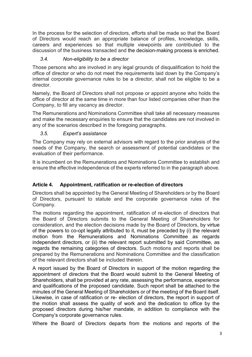In the process for the selection of directors, efforts shall be made so that the Board of Directors would reach an appropriate balance of profiles, knowledge, skills, careers and experiences so that multiple viewpoints are contributed to the discussion of the business transacted and the decision-making process is enriched.

#### *3.4. Non-eligibility to be a director*

Those persons who are involved in any legal grounds of disqualification to hold the office of director or who do not meet the requirements laid down by the Company's internal corporate governance rules to be a director, shall not be eligible to be a director.

Namely, the Board of Directors shall not propose or appoint anyone who holds the office of director at the same time in more than four listed companies other than the Company, to fill any vacancy as director.

The Remunerations and Nominations Committee shall take all necessary measures and make the necessary enquiries to ensure that the candidates are not involved in any of the scenarios described in the foregoing paragraphs.

#### *3.5. Expert's assistance*

The Company may rely on external advisors with regard to the prior analysis of the needs of the Company, the search or assessment of potential candidates or the evaluation of their performance.

It is incumbent on the Remunerations and Nominations Committee to establish and ensure the effective independence of the experts referred to in the paragraph above.

#### **Article 4. Appointment, ratification or re-election of directors**

Directors shall be appointed by the General Meeting of Shareholders or by the Board of Directors, pursuant to statute and the corporate governance rules of the Company.

The motions regarding the appointment, ratification of re-election of directors that the Board of Directors submits to the General Meeting of Shareholders for consideration, and the election decisions made by the Board of Directors, by virtue of the powers to co-opt legally attributed to it, must be preceded by (i) the relevant motion from the Remunerations and Nominations Committee as regards independent directors, or (ii) the relevant report submitted by said Committee, as regards the remaining categories of directors. Such motions and reports shall be prepared by the Remunerations and Nominations Committee and the classification of the relevant directors shall be included therein.

A report issued by the Board of Directors in support of the motion regarding the appointment of directors that the Board would submit to the General Meeting of Shareholders, shall be provided at any rate, assessing the performance, experience and qualifications of the proposed candidate. Such report shall be attached to the minutes of the General Meeting of Shareholders or of the meeting of the Board itself. Likewise, in case of ratification or re- election of directors, the report in support of the motion shall assess the quality of work and the dedication to office by the proposed directors during his/her mandate, in addition to compliance with the Company's corporate governance rules.

Where the Board of Directors departs from the motions and reports of the